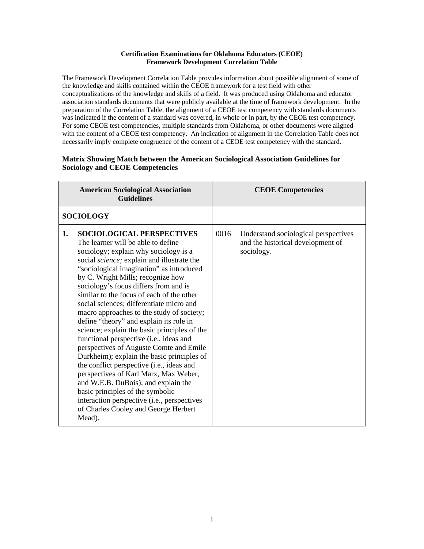## **Certification Examinations for Oklahoma Educators (CEOE) Framework Development Correlation Table**

The Framework Development Correlation Table provides information about possible alignment of some of the knowledge and skills contained within the CEOE framework for a test field with other conceptualizations of the knowledge and skills of a field. It was produced using Oklahoma and educator association standards documents that were publicly available at the time of framework development. In the preparation of the Correlation Table, the alignment of a CEOE test competency with standards documents was indicated if the content of a standard was covered, in whole or in part, by the CEOE test competency. For some CEOE test competencies, multiple standards from Oklahoma, or other documents were aligned with the content of a CEOE test competency. An indication of alignment in the Correlation Table does not necessarily imply complete congruence of the content of a CEOE test competency with the standard.

## **Matrix Showing Match between the American Sociological Association Guidelines for Sociology and CEOE Competencies**

|    | <b>American Sociological Association</b><br><b>Guidelines</b>                                                                                                                                                                                                                                                                                                                                                                                                                                                                                                                                                                                                                                                                                                                                                                                                                                                                  |      | <b>CEOE Competencies</b>                                                                |
|----|--------------------------------------------------------------------------------------------------------------------------------------------------------------------------------------------------------------------------------------------------------------------------------------------------------------------------------------------------------------------------------------------------------------------------------------------------------------------------------------------------------------------------------------------------------------------------------------------------------------------------------------------------------------------------------------------------------------------------------------------------------------------------------------------------------------------------------------------------------------------------------------------------------------------------------|------|-----------------------------------------------------------------------------------------|
|    | <b>SOCIOLOGY</b>                                                                                                                                                                                                                                                                                                                                                                                                                                                                                                                                                                                                                                                                                                                                                                                                                                                                                                               |      |                                                                                         |
| 1. | <b>SOCIOLOGICAL PERSPECTIVES</b><br>The learner will be able to define<br>sociology; explain why sociology is a<br>social science; explain and illustrate the<br>"sociological imagination" as introduced<br>by C. Wright Mills; recognize how<br>sociology's focus differs from and is<br>similar to the focus of each of the other<br>social sciences; differentiate micro and<br>macro approaches to the study of society;<br>define "theory" and explain its role in<br>science; explain the basic principles of the<br>functional perspective (i.e., ideas and<br>perspectives of Auguste Comte and Emile<br>Durkheim); explain the basic principles of<br>the conflict perspective (i.e., ideas and<br>perspectives of Karl Marx, Max Weber,<br>and W.E.B. DuBois); and explain the<br>basic principles of the symbolic<br>interaction perspective (i.e., perspectives<br>of Charles Cooley and George Herbert<br>Mead). | 0016 | Understand sociological perspectives<br>and the historical development of<br>sociology. |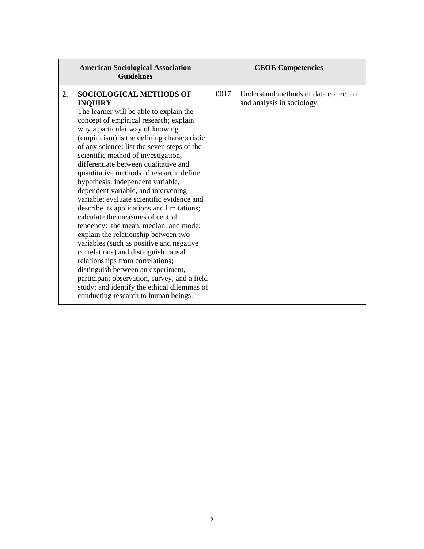| <b>American Sociological Association</b><br><b>Guidelines</b>                                                                                                                                                                                                                                                                                                                                                                                                                                                                                                                                                                                                                                                                                                                                                                                                                                                                                                                                               | <b>CEOE Competencies</b>                                                    |
|-------------------------------------------------------------------------------------------------------------------------------------------------------------------------------------------------------------------------------------------------------------------------------------------------------------------------------------------------------------------------------------------------------------------------------------------------------------------------------------------------------------------------------------------------------------------------------------------------------------------------------------------------------------------------------------------------------------------------------------------------------------------------------------------------------------------------------------------------------------------------------------------------------------------------------------------------------------------------------------------------------------|-----------------------------------------------------------------------------|
| <b>SOCIOLOGICAL METHODS OF</b><br>2.<br><b>INQUIRY</b><br>The learner will be able to explain the<br>concept of empirical research; explain<br>why a particular way of knowing<br>(empiricism) is the defining characteristic<br>of any science; list the seven steps of the<br>scientific method of investigation;<br>differentiate between qualitative and<br>quantitative methods of research; define<br>hypothesis, independent variable,<br>dependent variable, and intervening<br>variable; evaluate scientific evidence and<br>describe its applications and limitations;<br>calculate the measures of central<br>tendency: the mean, median, and mode;<br>explain the relationship between two<br>variables (such as positive and negative<br>correlations) and distinguish causal<br>relationships from correlations;<br>distinguish between an experiment,<br>participant observation, survey, and a field<br>study; and identify the ethical dilemmas of<br>conducting research to human beings. | 0017<br>Understand methods of data collection<br>and analysis in sociology. |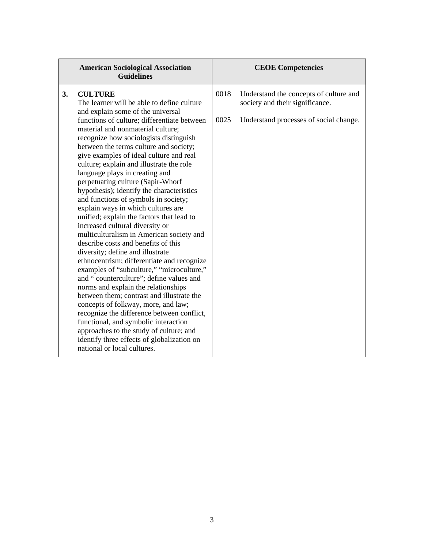| <b>American Sociological Association</b><br><b>Guidelines</b>                                                                                                                                                                                                                                                                                                                                                                                                                                                                                                                                                                                                                                                                                                                                                                                                                                                                                                                                                                                                                                                                                       | <b>CEOE Competencies</b>                                                          |
|-----------------------------------------------------------------------------------------------------------------------------------------------------------------------------------------------------------------------------------------------------------------------------------------------------------------------------------------------------------------------------------------------------------------------------------------------------------------------------------------------------------------------------------------------------------------------------------------------------------------------------------------------------------------------------------------------------------------------------------------------------------------------------------------------------------------------------------------------------------------------------------------------------------------------------------------------------------------------------------------------------------------------------------------------------------------------------------------------------------------------------------------------------|-----------------------------------------------------------------------------------|
| 3.<br><b>CULTURE</b><br>The learner will be able to define culture<br>and explain some of the universal                                                                                                                                                                                                                                                                                                                                                                                                                                                                                                                                                                                                                                                                                                                                                                                                                                                                                                                                                                                                                                             | 0018<br>Understand the concepts of culture and<br>society and their significance. |
| functions of culture; differentiate between<br>material and nonmaterial culture;<br>recognize how sociologists distinguish<br>between the terms culture and society;<br>give examples of ideal culture and real<br>culture; explain and illustrate the role<br>language plays in creating and<br>perpetuating culture (Sapir-Whorf<br>hypothesis); identify the characteristics<br>and functions of symbols in society;<br>explain ways in which cultures are<br>unified; explain the factors that lead to<br>increased cultural diversity or<br>multiculturalism in American society and<br>describe costs and benefits of this<br>diversity; define and illustrate<br>ethnocentrism; differentiate and recognize<br>examples of "subculture," "microculture,"<br>and "counterculture"; define values and<br>norms and explain the relationships<br>between them; contrast and illustrate the<br>concepts of folkway, more, and law;<br>recognize the difference between conflict,<br>functional, and symbolic interaction<br>approaches to the study of culture; and<br>identify three effects of globalization on<br>national or local cultures. | 0025<br>Understand processes of social change.                                    |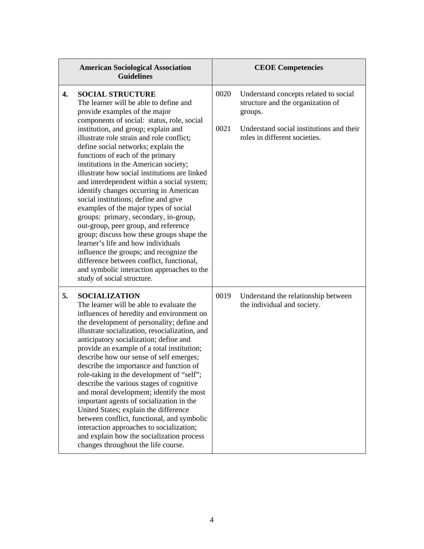|    | <b>American Sociological Association</b><br><b>Guidelines</b>                                                                                                                                                                                                                                                                                                                                                                                                                                                                                                                                                                                                                                                                                                                                                                                                                                                             |              | <b>CEOE Competencies</b>                                                                                                                                           |
|----|---------------------------------------------------------------------------------------------------------------------------------------------------------------------------------------------------------------------------------------------------------------------------------------------------------------------------------------------------------------------------------------------------------------------------------------------------------------------------------------------------------------------------------------------------------------------------------------------------------------------------------------------------------------------------------------------------------------------------------------------------------------------------------------------------------------------------------------------------------------------------------------------------------------------------|--------------|--------------------------------------------------------------------------------------------------------------------------------------------------------------------|
| 4. | <b>SOCIAL STRUCTURE</b><br>The learner will be able to define and<br>provide examples of the major<br>components of social: status, role, social<br>institution, and group; explain and<br>illustrate role strain and role conflict;<br>define social networks; explain the<br>functions of each of the primary<br>institutions in the American society;<br>illustrate how social institutions are linked<br>and interdependent within a social system;<br>identify changes occurring in American<br>social institutions; define and give<br>examples of the major types of social<br>groups: primary, secondary, in-group,<br>out-group, peer group, and reference<br>group; discuss how these groups shape the<br>learner's life and how individuals<br>influence the groups; and recognize the<br>difference between conflict, functional,<br>and symbolic interaction approaches to the<br>study of social structure. | 0020<br>0021 | Understand concepts related to social<br>structure and the organization of<br>groups.<br>Understand social institutions and their<br>roles in different societies. |
| 5. | <b>SOCIALIZATION</b><br>The learner will be able to evaluate the<br>influences of heredity and environment on<br>the development of personality; define and<br>illustrate socialization, resocialization, and<br>anticipatory socialization; define and<br>provide an example of a total institution;<br>describe how our sense of self emerges;<br>describe the importance and function of<br>role-taking in the development of "self";<br>describe the various stages of cognitive<br>and moral development; identify the most<br>important agents of socialization in the<br>United States; explain the difference<br>between conflict, functional, and symbolic<br>interaction approaches to socialization;<br>and explain how the socialization process<br>changes throughout the life course.                                                                                                                       | 0019         | Understand the relationship between<br>the individual and society.                                                                                                 |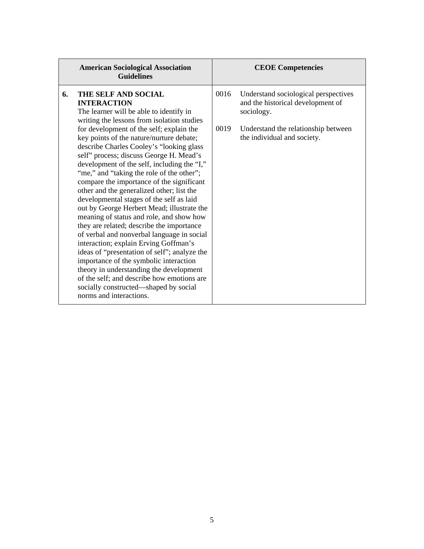|    | <b>American Sociological Association</b><br><b>Guidelines</b>                                                                                                                                                                                                                                                                                                                                                                                                                                                                                                                                                                                                                                                                                                                                                                                                                                                                                                                                                                             |              | <b>CEOE Competencies</b>                                                                                                                                      |
|----|-------------------------------------------------------------------------------------------------------------------------------------------------------------------------------------------------------------------------------------------------------------------------------------------------------------------------------------------------------------------------------------------------------------------------------------------------------------------------------------------------------------------------------------------------------------------------------------------------------------------------------------------------------------------------------------------------------------------------------------------------------------------------------------------------------------------------------------------------------------------------------------------------------------------------------------------------------------------------------------------------------------------------------------------|--------------|---------------------------------------------------------------------------------------------------------------------------------------------------------------|
| 6. | THE SELF AND SOCIAL<br><b>INTERACTION</b><br>The learner will be able to identify in<br>writing the lessons from isolation studies<br>for development of the self; explain the<br>key points of the nature/nurture debate;<br>describe Charles Cooley's "looking glass"<br>self" process; discuss George H. Mead's<br>development of the self, including the "I,"<br>"me," and "taking the role of the other";<br>compare the importance of the significant<br>other and the generalized other; list the<br>developmental stages of the self as laid<br>out by George Herbert Mead; illustrate the<br>meaning of status and role, and show how<br>they are related; describe the importance<br>of verbal and nonverbal language in social<br>interaction; explain Erving Goffman's<br>ideas of "presentation of self"; analyze the<br>importance of the symbolic interaction<br>theory in understanding the development<br>of the self; and describe how emotions are<br>socially constructed—shaped by social<br>norms and interactions. | 0016<br>0019 | Understand sociological perspectives<br>and the historical development of<br>sociology.<br>Understand the relationship between<br>the individual and society. |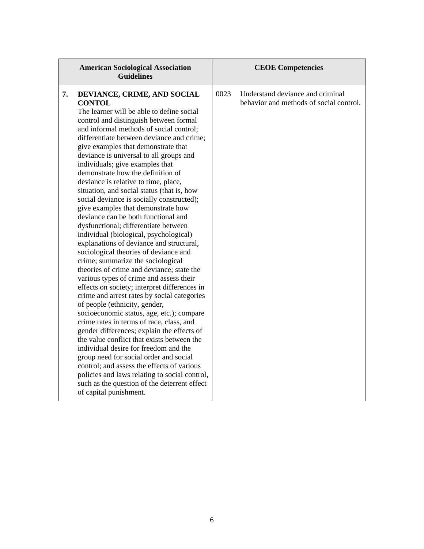| <b>American Sociological Association</b><br><b>Guidelines</b>                                                                                                                                                                                                                                                                                                                                                                                                                                                                                                                                                                                                                                                                                                                                                                                                                                                                                                                                                                                                                                                                                                                                                                                                                                                                                                                                                                                                                                    | <b>CEOE Competencies</b>                                                            |
|--------------------------------------------------------------------------------------------------------------------------------------------------------------------------------------------------------------------------------------------------------------------------------------------------------------------------------------------------------------------------------------------------------------------------------------------------------------------------------------------------------------------------------------------------------------------------------------------------------------------------------------------------------------------------------------------------------------------------------------------------------------------------------------------------------------------------------------------------------------------------------------------------------------------------------------------------------------------------------------------------------------------------------------------------------------------------------------------------------------------------------------------------------------------------------------------------------------------------------------------------------------------------------------------------------------------------------------------------------------------------------------------------------------------------------------------------------------------------------------------------|-------------------------------------------------------------------------------------|
| 7.<br>DEVIANCE, CRIME, AND SOCIAL<br><b>CONTOL</b><br>The learner will be able to define social<br>control and distinguish between formal<br>and informal methods of social control;<br>differentiate between deviance and crime;<br>give examples that demonstrate that<br>deviance is universal to all groups and<br>individuals; give examples that<br>demonstrate how the definition of<br>deviance is relative to time, place,<br>situation, and social status (that is, how<br>social deviance is socially constructed);<br>give examples that demonstrate how<br>deviance can be both functional and<br>dysfunctional; differentiate between<br>individual (biological, psychological)<br>explanations of deviance and structural,<br>sociological theories of deviance and<br>crime; summarize the sociological<br>theories of crime and deviance; state the<br>various types of crime and assess their<br>effects on society; interpret differences in<br>crime and arrest rates by social categories<br>of people (ethnicity, gender,<br>socioeconomic status, age, etc.); compare<br>crime rates in terms of race, class, and<br>gender differences; explain the effects of<br>the value conflict that exists between the<br>individual desire for freedom and the<br>group need for social order and social<br>control; and assess the effects of various<br>policies and laws relating to social control,<br>such as the question of the deterrent effect<br>of capital punishment. | 0023<br>Understand deviance and criminal<br>behavior and methods of social control. |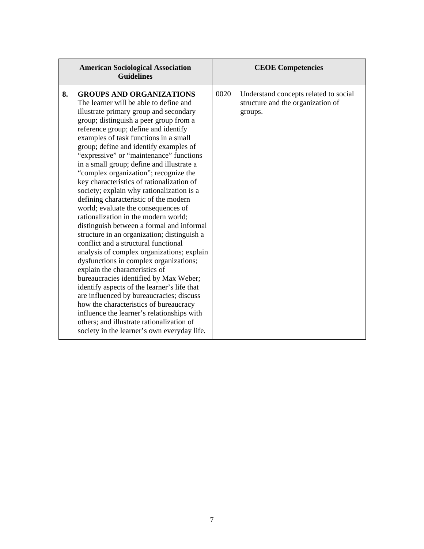| <b>American Sociological Association</b><br><b>Guidelines</b>                                                                                                                                                                                                                                                                                                                                                                                                                                                                                                                                                                                                                                                                                                                                                                                                                                                                                                                                                                                                                                                                                                                                                                            | <b>CEOE Competencies</b>                                                                      |
|------------------------------------------------------------------------------------------------------------------------------------------------------------------------------------------------------------------------------------------------------------------------------------------------------------------------------------------------------------------------------------------------------------------------------------------------------------------------------------------------------------------------------------------------------------------------------------------------------------------------------------------------------------------------------------------------------------------------------------------------------------------------------------------------------------------------------------------------------------------------------------------------------------------------------------------------------------------------------------------------------------------------------------------------------------------------------------------------------------------------------------------------------------------------------------------------------------------------------------------|-----------------------------------------------------------------------------------------------|
| <b>GROUPS AND ORGANIZATIONS</b><br>8.<br>The learner will be able to define and<br>illustrate primary group and secondary<br>group; distinguish a peer group from a<br>reference group; define and identify<br>examples of task functions in a small<br>group; define and identify examples of<br>"expressive" or "maintenance" functions<br>in a small group; define and illustrate a<br>"complex organization"; recognize the<br>key characteristics of rationalization of<br>society; explain why rationalization is a<br>defining characteristic of the modern<br>world; evaluate the consequences of<br>rationalization in the modern world;<br>distinguish between a formal and informal<br>structure in an organization; distinguish a<br>conflict and a structural functional<br>analysis of complex organizations; explain<br>dysfunctions in complex organizations;<br>explain the characteristics of<br>bureaucracies identified by Max Weber;<br>identify aspects of the learner's life that<br>are influenced by bureaucracies; discuss<br>how the characteristics of bureaucracy<br>influence the learner's relationships with<br>others; and illustrate rationalization of<br>society in the learner's own everyday life. | 0020<br>Understand concepts related to social<br>structure and the organization of<br>groups. |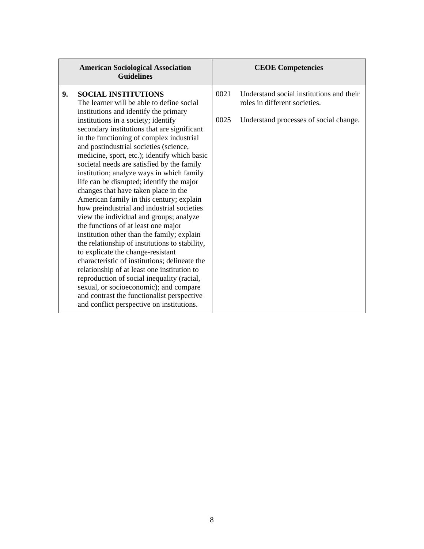|    | <b>American Sociological Association</b><br><b>Guidelines</b>                                                                                                                                                                                                                                                                                                                                                                                                                                                                                                                                                                                                                                                                                                                                                                                                                                                                                                                                                                                                                       |              | <b>CEOE Competencies</b>                                                                                            |
|----|-------------------------------------------------------------------------------------------------------------------------------------------------------------------------------------------------------------------------------------------------------------------------------------------------------------------------------------------------------------------------------------------------------------------------------------------------------------------------------------------------------------------------------------------------------------------------------------------------------------------------------------------------------------------------------------------------------------------------------------------------------------------------------------------------------------------------------------------------------------------------------------------------------------------------------------------------------------------------------------------------------------------------------------------------------------------------------------|--------------|---------------------------------------------------------------------------------------------------------------------|
| 9. | <b>SOCIAL INSTITUTIONS</b><br>The learner will be able to define social<br>institutions and identify the primary<br>institutions in a society; identify<br>secondary institutions that are significant<br>in the functioning of complex industrial<br>and postindustrial societies (science,<br>medicine, sport, etc.); identify which basic<br>societal needs are satisfied by the family<br>institution; analyze ways in which family<br>life can be disrupted; identify the major<br>changes that have taken place in the<br>American family in this century; explain<br>how preindustrial and industrial societies<br>view the individual and groups; analyze<br>the functions of at least one major<br>institution other than the family; explain<br>the relationship of institutions to stability,<br>to explicate the change-resistant<br>characteristic of institutions; delineate the<br>relationship of at least one institution to<br>reproduction of social inequality (racial,<br>sexual, or socioeconomic); and compare<br>and contrast the functionalist perspective | 0021<br>0025 | Understand social institutions and their<br>roles in different societies.<br>Understand processes of social change. |
|    | and conflict perspective on institutions.                                                                                                                                                                                                                                                                                                                                                                                                                                                                                                                                                                                                                                                                                                                                                                                                                                                                                                                                                                                                                                           |              |                                                                                                                     |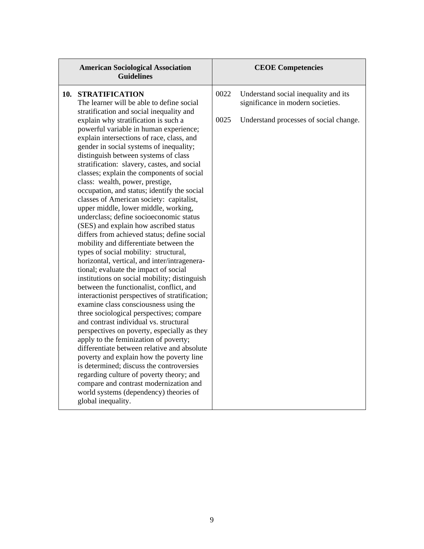| <b>American Sociological Association</b><br><b>Guidelines</b>                                                                                                                                                                                                                                                                                                                                                                                                                                                                                                                                                                                                                                                                                                                                                                                                                                                                                                                                                                                                                                                                                                                                                                                                                                                                                                                                                                                                                                                                                                                              | <b>CEOE Competencies</b>                                                                                                            |
|--------------------------------------------------------------------------------------------------------------------------------------------------------------------------------------------------------------------------------------------------------------------------------------------------------------------------------------------------------------------------------------------------------------------------------------------------------------------------------------------------------------------------------------------------------------------------------------------------------------------------------------------------------------------------------------------------------------------------------------------------------------------------------------------------------------------------------------------------------------------------------------------------------------------------------------------------------------------------------------------------------------------------------------------------------------------------------------------------------------------------------------------------------------------------------------------------------------------------------------------------------------------------------------------------------------------------------------------------------------------------------------------------------------------------------------------------------------------------------------------------------------------------------------------------------------------------------------------|-------------------------------------------------------------------------------------------------------------------------------------|
| <b>STRATIFICATION</b><br>10.<br>The learner will be able to define social<br>stratification and social inequality and<br>explain why stratification is such a<br>powerful variable in human experience;<br>explain intersections of race, class, and<br>gender in social systems of inequality;<br>distinguish between systems of class<br>stratification: slavery, castes, and social<br>classes; explain the components of social<br>class: wealth, power, prestige,<br>occupation, and status; identify the social<br>classes of American society: capitalist,<br>upper middle, lower middle, working,<br>underclass; define socioeconomic status<br>(SES) and explain how ascribed status<br>differs from achieved status; define social<br>mobility and differentiate between the<br>types of social mobility: structural,<br>horizontal, vertical, and inter/intragenera-<br>tional; evaluate the impact of social<br>institutions on social mobility; distinguish<br>between the functionalist, conflict, and<br>interactionist perspectives of stratification;<br>examine class consciousness using the<br>three sociological perspectives; compare<br>and contrast individual vs. structural<br>perspectives on poverty, especially as they<br>apply to the feminization of poverty;<br>differentiate between relative and absolute<br>poverty and explain how the poverty line<br>is determined; discuss the controversies<br>regarding culture of poverty theory; and<br>compare and contrast modernization and<br>world systems (dependency) theories of<br>global inequality. | 0022<br>Understand social inequality and its<br>significance in modern societies.<br>0025<br>Understand processes of social change. |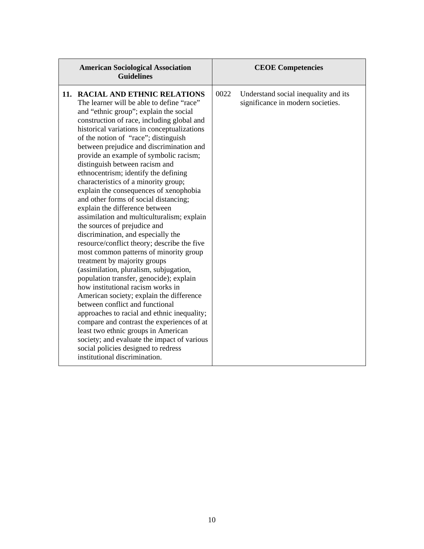| <b>American Sociological Association</b><br><b>Guidelines</b>                                                                                                                                                                                                                                                                                                                                                                                                                                                                                                                                                                                                                                                                                                                                                                                                                                                                                                                                                                                                                                                                                                                                                                                                                                             | <b>CEOE Competencies</b>                                                          |
|-----------------------------------------------------------------------------------------------------------------------------------------------------------------------------------------------------------------------------------------------------------------------------------------------------------------------------------------------------------------------------------------------------------------------------------------------------------------------------------------------------------------------------------------------------------------------------------------------------------------------------------------------------------------------------------------------------------------------------------------------------------------------------------------------------------------------------------------------------------------------------------------------------------------------------------------------------------------------------------------------------------------------------------------------------------------------------------------------------------------------------------------------------------------------------------------------------------------------------------------------------------------------------------------------------------|-----------------------------------------------------------------------------------|
| 11. RACIAL AND ETHNIC RELATIONS<br>The learner will be able to define "race"<br>and "ethnic group"; explain the social<br>construction of race, including global and<br>historical variations in conceptualizations<br>of the notion of "race"; distinguish<br>between prejudice and discrimination and<br>provide an example of symbolic racism;<br>distinguish between racism and<br>ethnocentrism; identify the defining<br>characteristics of a minority group;<br>explain the consequences of xenophobia<br>and other forms of social distancing;<br>explain the difference between<br>assimilation and multiculturalism; explain<br>the sources of prejudice and<br>discrimination, and especially the<br>resource/conflict theory; describe the five<br>most common patterns of minority group<br>treatment by majority groups<br>(assimilation, pluralism, subjugation,<br>population transfer, genocide); explain<br>how institutional racism works in<br>American society; explain the difference<br>between conflict and functional<br>approaches to racial and ethnic inequality;<br>compare and contrast the experiences of at<br>least two ethnic groups in American<br>society; and evaluate the impact of various<br>social policies designed to redress<br>institutional discrimination. | 0022<br>Understand social inequality and its<br>significance in modern societies. |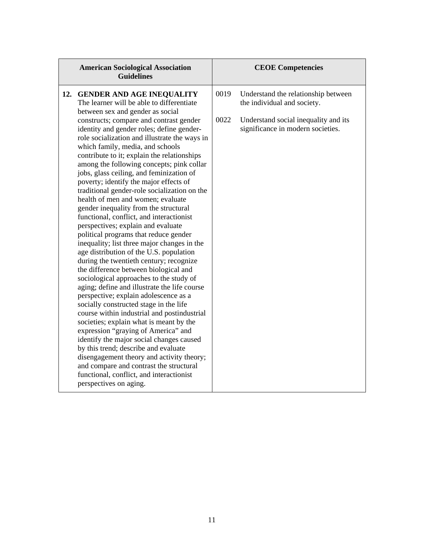| <b>American Sociological Association</b><br><b>Guidelines</b>                                                                                                                                                                                                                                                                                                                                                                                                                                                                                                                                                                                                                                                                                                                                                                                                                                                                                                                                                                                                                                                                                                                                                                                                                                                                                                                                                                                                                         | <b>CEOE Competencies</b>                                                                                                                                        |
|---------------------------------------------------------------------------------------------------------------------------------------------------------------------------------------------------------------------------------------------------------------------------------------------------------------------------------------------------------------------------------------------------------------------------------------------------------------------------------------------------------------------------------------------------------------------------------------------------------------------------------------------------------------------------------------------------------------------------------------------------------------------------------------------------------------------------------------------------------------------------------------------------------------------------------------------------------------------------------------------------------------------------------------------------------------------------------------------------------------------------------------------------------------------------------------------------------------------------------------------------------------------------------------------------------------------------------------------------------------------------------------------------------------------------------------------------------------------------------------|-----------------------------------------------------------------------------------------------------------------------------------------------------------------|
| 12. GENDER AND AGE INEQUALITY<br>The learner will be able to differentiate<br>between sex and gender as social<br>constructs; compare and contrast gender<br>identity and gender roles; define gender-<br>role socialization and illustrate the ways in<br>which family, media, and schools<br>contribute to it; explain the relationships<br>among the following concepts; pink collar<br>jobs, glass ceiling, and feminization of<br>poverty; identify the major effects of<br>traditional gender-role socialization on the<br>health of men and women; evaluate<br>gender inequality from the structural<br>functional, conflict, and interactionist<br>perspectives; explain and evaluate<br>political programs that reduce gender<br>inequality; list three major changes in the<br>age distribution of the U.S. population<br>during the twentieth century; recognize<br>the difference between biological and<br>sociological approaches to the study of<br>aging; define and illustrate the life course<br>perspective; explain adolescence as a<br>socially constructed stage in the life<br>course within industrial and postindustrial<br>societies; explain what is meant by the<br>expression "graying of America" and<br>identify the major social changes caused<br>by this trend; describe and evaluate<br>disengagement theory and activity theory;<br>and compare and contrast the structural<br>functional, conflict, and interactionist<br>perspectives on aging. | 0019<br>Understand the relationship between<br>the individual and society.<br>0022<br>Understand social inequality and its<br>significance in modern societies. |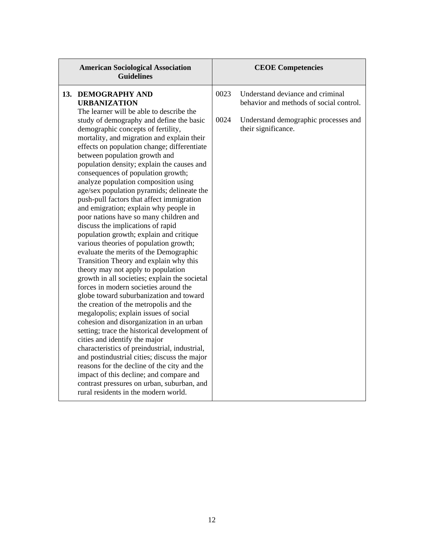| <b>American Sociological Association</b><br><b>Guidelines</b>                                                                                                                                                                                                                                                                                                                                                                                                                                                                                                                                                                                                                                                                                                                                                                                                                                                                                                                                                                                                                                                                                                                                                                                                                                                                                                                                                                                                                                             |              | <b>CEOE Competencies</b>                                                                                                                   |
|-----------------------------------------------------------------------------------------------------------------------------------------------------------------------------------------------------------------------------------------------------------------------------------------------------------------------------------------------------------------------------------------------------------------------------------------------------------------------------------------------------------------------------------------------------------------------------------------------------------------------------------------------------------------------------------------------------------------------------------------------------------------------------------------------------------------------------------------------------------------------------------------------------------------------------------------------------------------------------------------------------------------------------------------------------------------------------------------------------------------------------------------------------------------------------------------------------------------------------------------------------------------------------------------------------------------------------------------------------------------------------------------------------------------------------------------------------------------------------------------------------------|--------------|--------------------------------------------------------------------------------------------------------------------------------------------|
| 13. DEMOGRAPHY AND<br><b>URBANIZATION</b><br>The learner will be able to describe the<br>study of demography and define the basic<br>demographic concepts of fertility,<br>mortality, and migration and explain their<br>effects on population change; differentiate<br>between population growth and<br>population density; explain the causes and<br>consequences of population growth;<br>analyze population composition using<br>age/sex population pyramids; delineate the<br>push-pull factors that affect immigration<br>and emigration; explain why people in<br>poor nations have so many children and<br>discuss the implications of rapid<br>population growth; explain and critique<br>various theories of population growth;<br>evaluate the merits of the Demographic<br>Transition Theory and explain why this<br>theory may not apply to population<br>growth in all societies; explain the societal<br>forces in modern societies around the<br>globe toward suburbanization and toward<br>the creation of the metropolis and the<br>megalopolis; explain issues of social<br>cohesion and disorganization in an urban<br>setting; trace the historical development of<br>cities and identify the major<br>characteristics of preindustrial, industrial,<br>and postindustrial cities; discuss the major<br>reasons for the decline of the city and the<br>impact of this decline; and compare and<br>contrast pressures on urban, suburban, and<br>rural residents in the modern world. | 0023<br>0024 | Understand deviance and criminal<br>behavior and methods of social control.<br>Understand demographic processes and<br>their significance. |
|                                                                                                                                                                                                                                                                                                                                                                                                                                                                                                                                                                                                                                                                                                                                                                                                                                                                                                                                                                                                                                                                                                                                                                                                                                                                                                                                                                                                                                                                                                           |              |                                                                                                                                            |